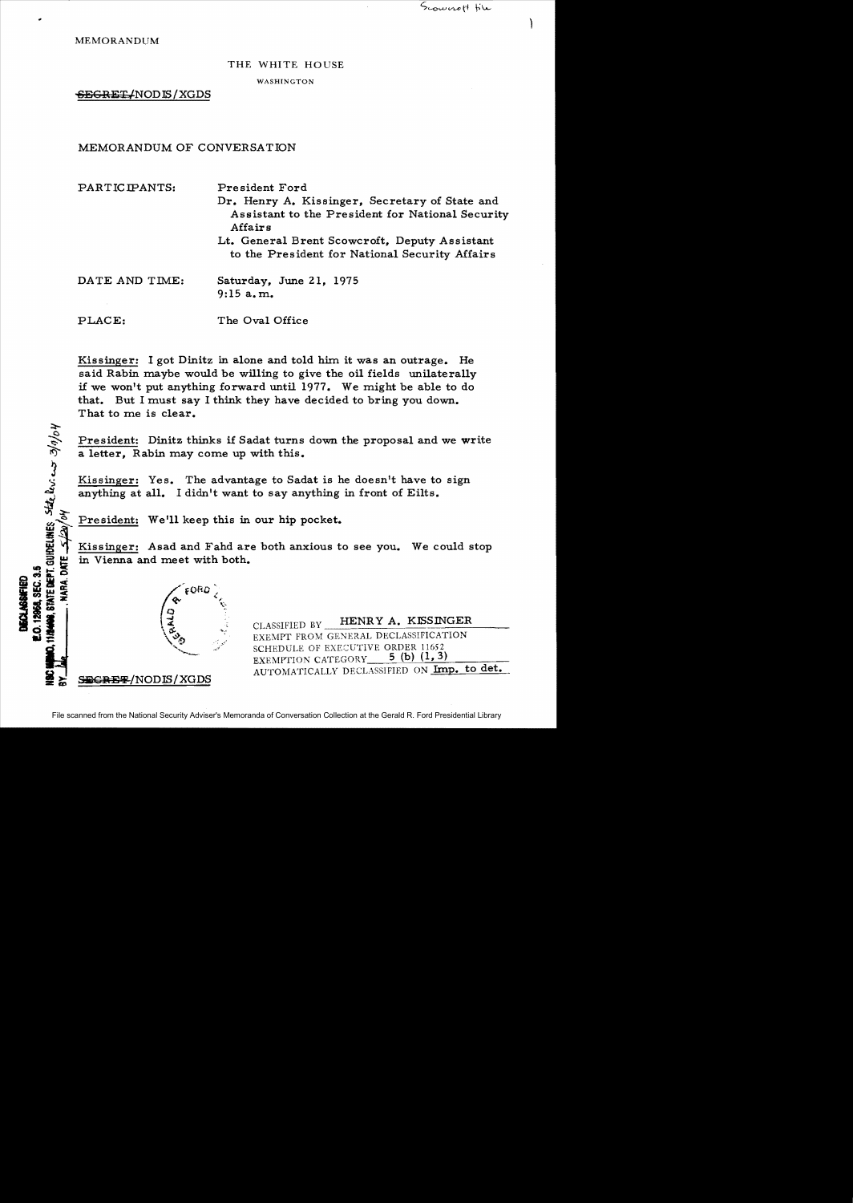MEMORANDUM

## THE WHITE HOUSE

WASHINGTON

<del>SECRET/</del>NODIS/XGDS

MEMORANDUM OF CONVERSATION

PARTICIPANTS: President Ford Dr. Henry A. Kissinger, Secretary of State and Assistant to the President for National Security Affairs Lt. General Brent Scowcroft, Deputy Assistant to the President for National Security Mfairs DATE AND TIME: Saturday, June 21, 1975  $9:15 a.m.$ PLACE: The Oval Office

Kissinger: I got Dinitz in alone and told him it was an outrage. He said Rabin maybe would be willing to give the oil fields unilaterally if we won't put anything forward until 1977. We might be able to do that. But I must say I think they have decided to bring you down. That to me is clear.

President: Dinitz thinks if Sadat turns down the proposal and we write a letter, Rabin may come up with this.

Kissinger: Yes. The advantage to Sadat is he doesn't have to sign anything at all. I didn't want to say anything in front of Eilts.

President: We'll keep this in our hip pocket.<br>
Kissinger: Asad and Fahd are both anxious to see you. We could stop<br>
in Vienna and meet with both. in Vienna and meet with both.



-<br>Q

**"'.,..:**

I~m~

~

 $\frac{2}{\sqrt{2}}$ 

 $\sum_{i=1}^{n}$ 

te levi en

**in the set of the set of the set of the set of the set of the set of the set of the set of the set of the set o<br>
EXEMPT FROM GENERAL DECLASSIFICATION** SCHEDULE OF EXECUTIVE ORDER 11652<br>EXEMPTION CATEGORY 5 (b) (1, 3) EXEMPTION CATEGORY AUTOMATICALLY DECLASSIFIED ON Imp. to det.  $A$ UTOMATICALLY DECLASSIFIED ON Imp. to det.